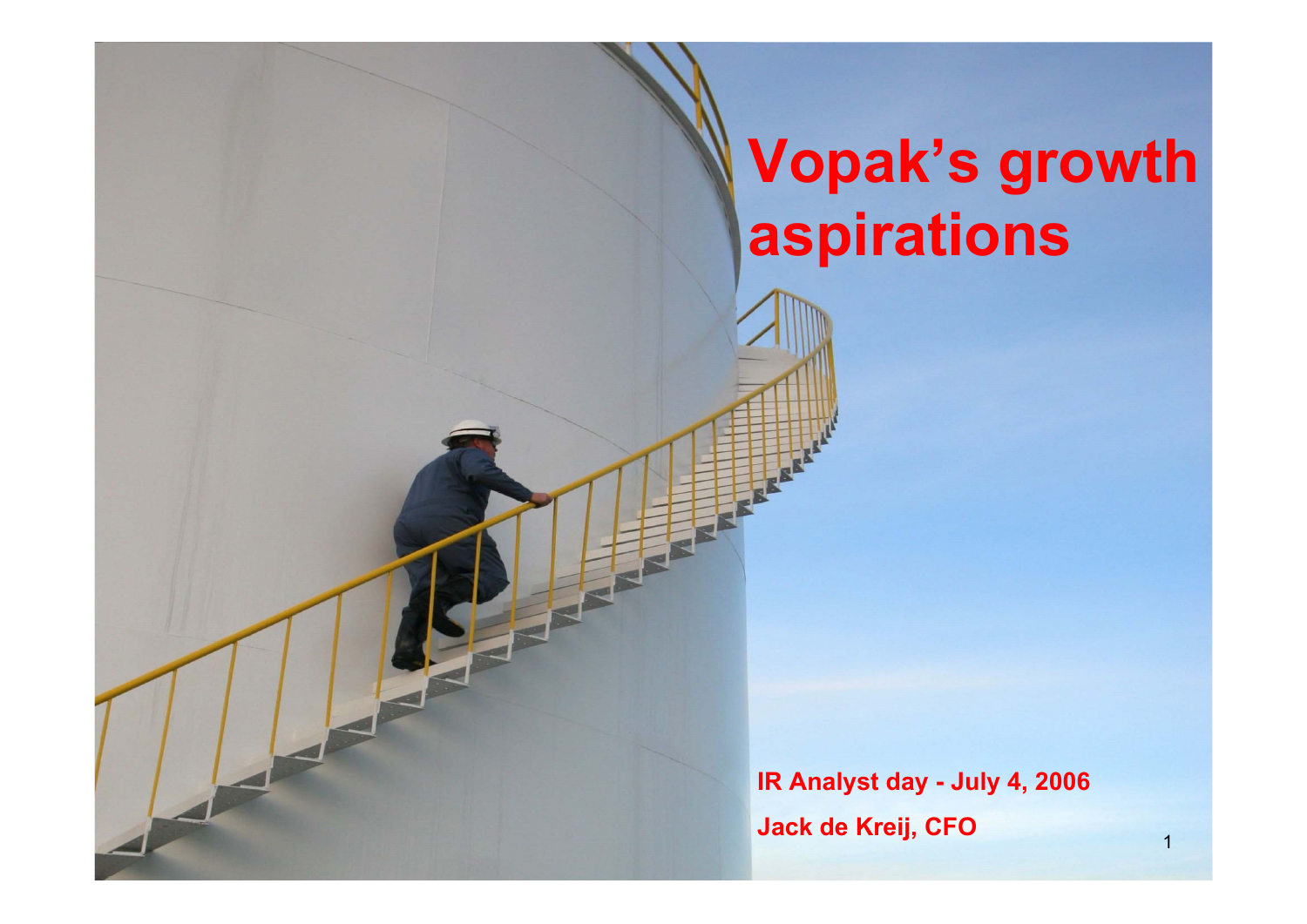# **Vopak's growth aspirations**

**IR Analyst day - July 4, 2006 Jack de Kreij, CFO**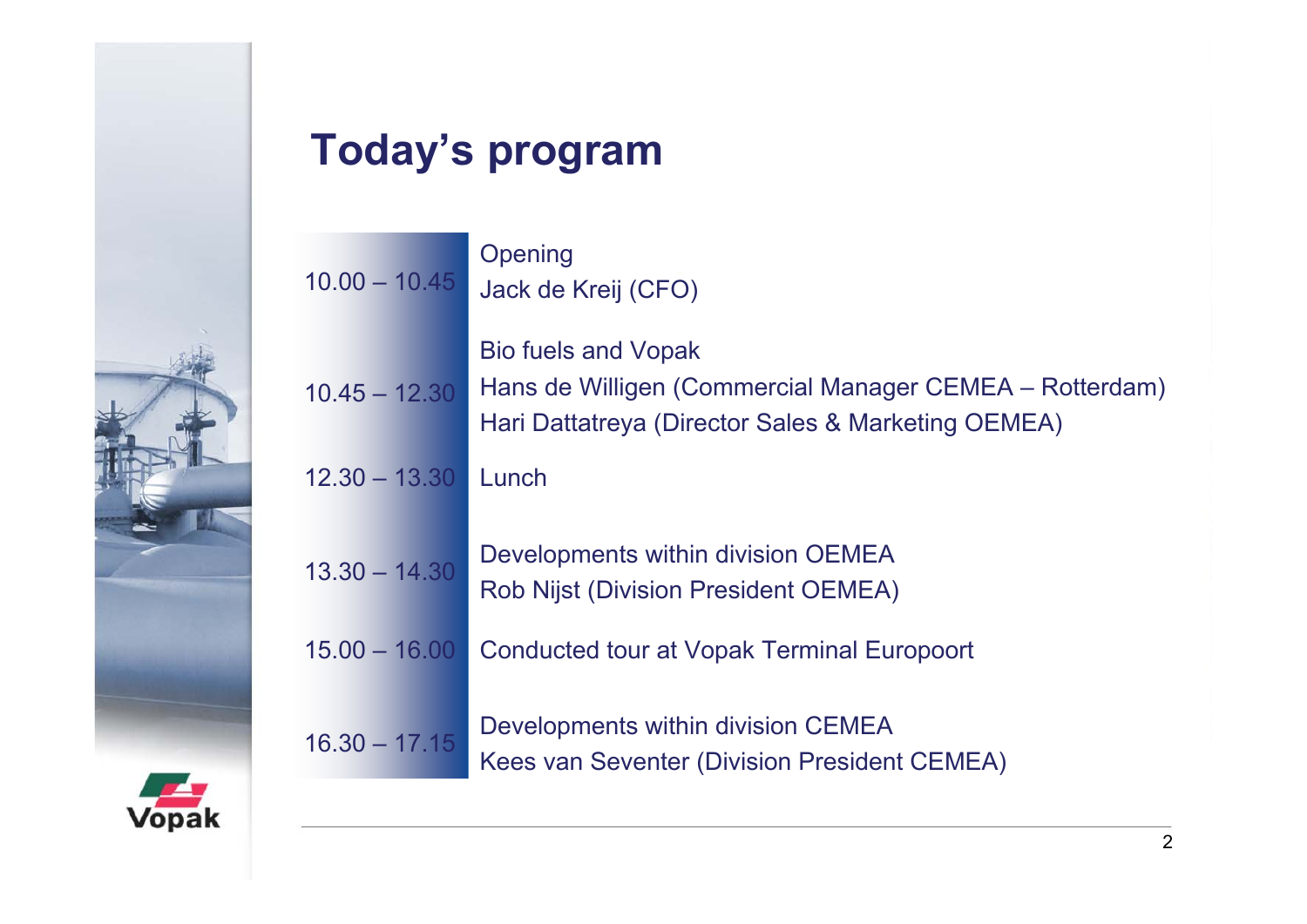

# **Today's program**

| $10.00 - 10.45$ | Opening<br>Jack de Kreij (CFO)                                                                                                              |
|-----------------|---------------------------------------------------------------------------------------------------------------------------------------------|
| $10.45 - 12.30$ | <b>Bio fuels and Vopak</b><br>Hans de Willigen (Commercial Manager CEMEA – Rotterdam)<br>Hari Dattatreya (Director Sales & Marketing OEMEA) |
| $12.30 - 13.30$ | Lunch                                                                                                                                       |
| $13.30 - 14.30$ | Developments within division OEMEA<br><b>Rob Nijst (Division President OEMEA)</b>                                                           |
| $15.00 - 16.00$ | <b>Conducted tour at Vopak Terminal Europoort</b>                                                                                           |
| $16.30 - 17.15$ | Developments within division CEMEA<br>Kees van Seventer (Division President CEMEA)                                                          |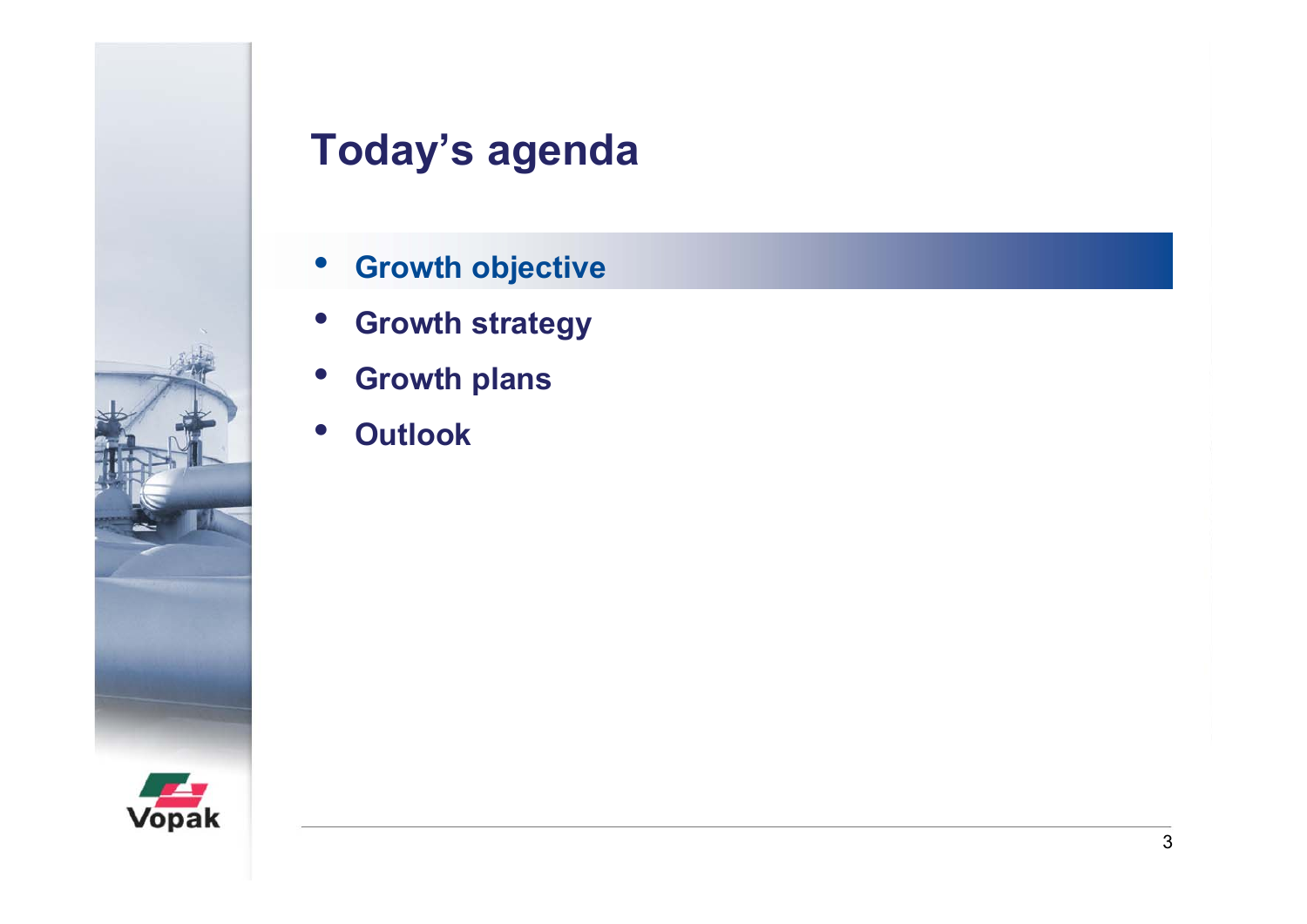

- $\bullet$ **Growth objective**
- $\bullet$ **Growth strategy**
- $\bullet$ **Growth plans**
- $\bullet$ **Outlook**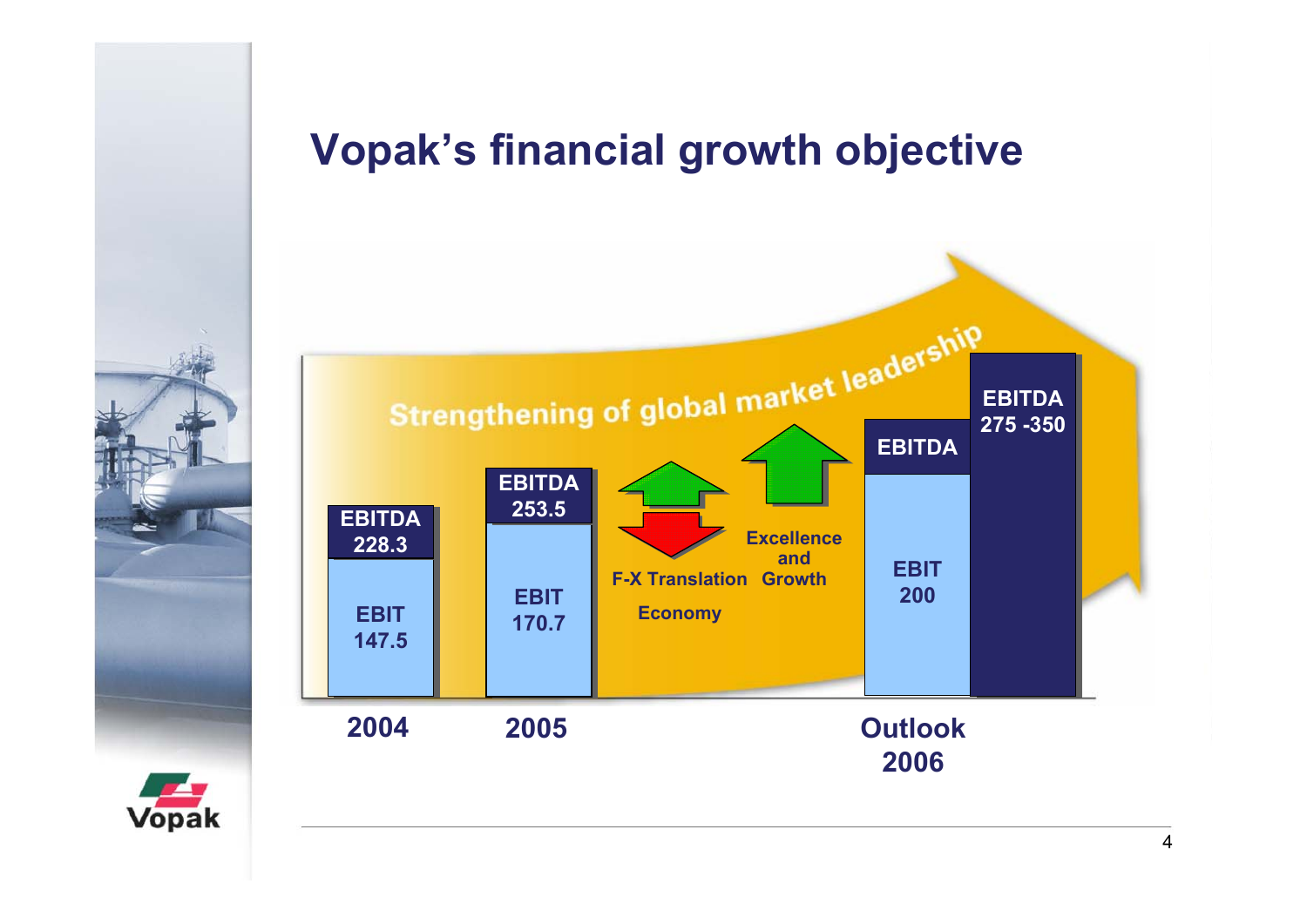### **Vopak's financial growth objective**



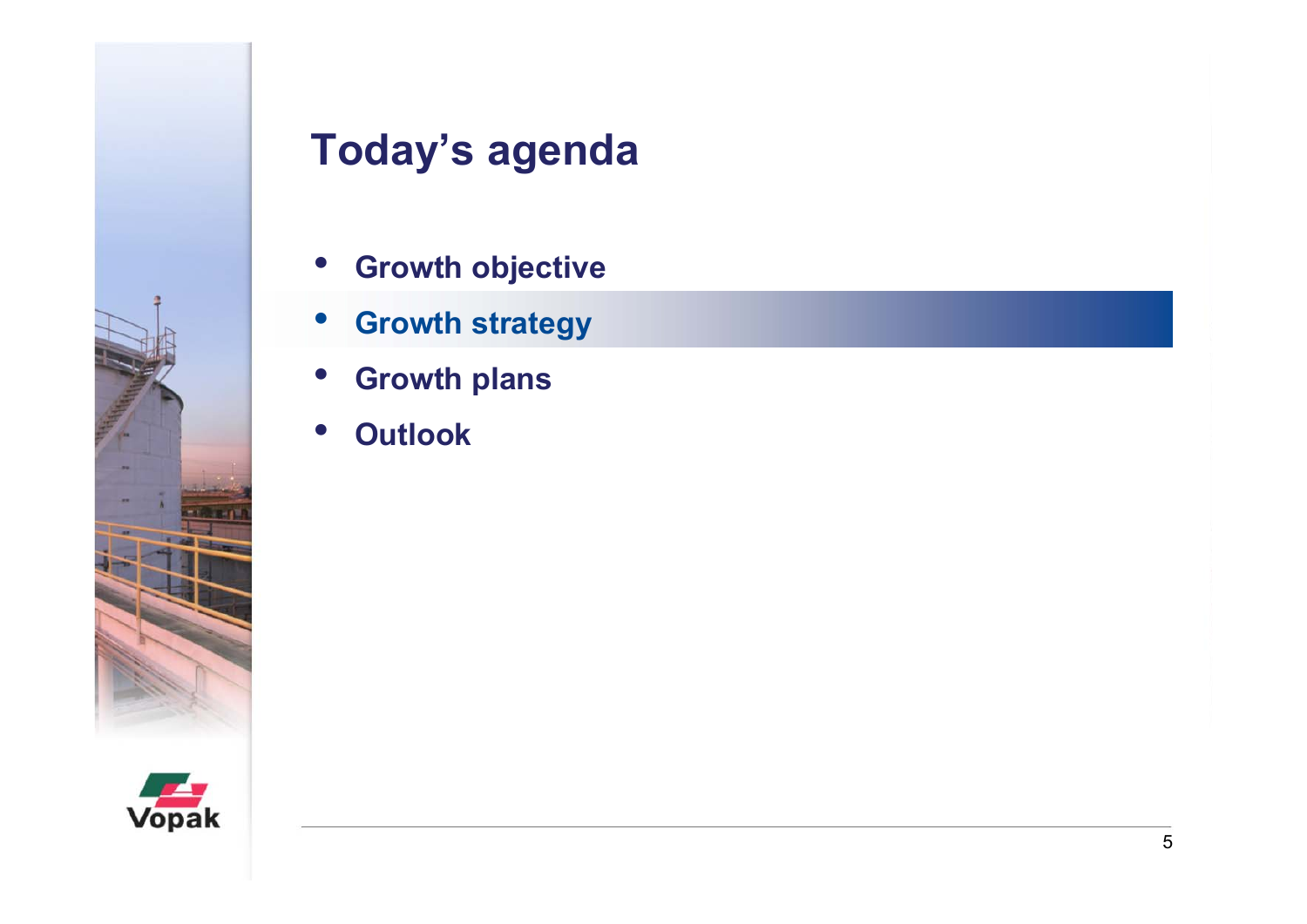

- $\bullet$ **Growth objective**
- $\bullet$ **Growth strategy**
- $\bullet$ **Growth plans**
- $\bullet$ **Outlook**

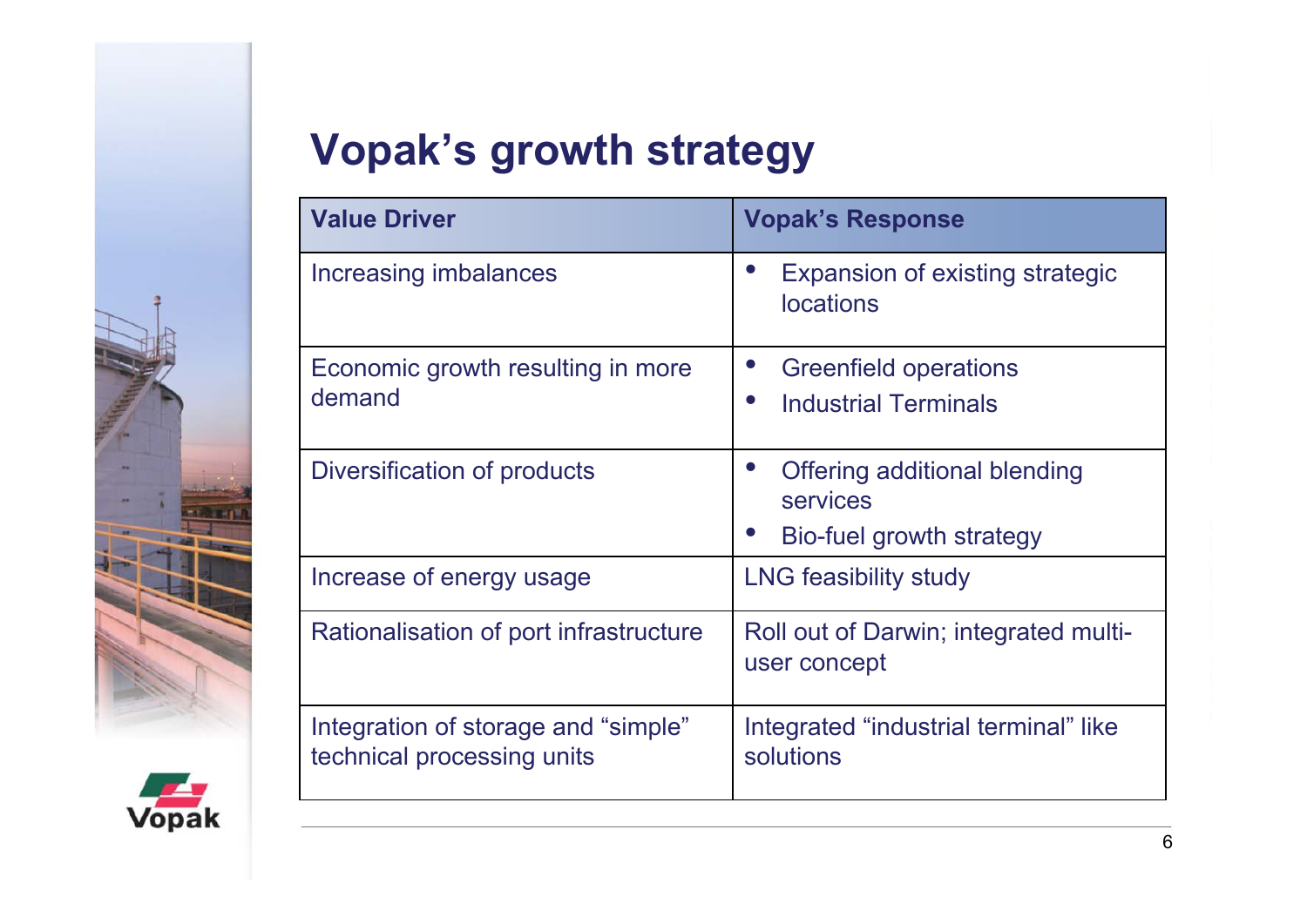

# **Vopak's growth strategy**

| <b>Value Driver</b>                                               | <b>Vopak's Response</b>                                                  |  |
|-------------------------------------------------------------------|--------------------------------------------------------------------------|--|
| Increasing imbalances                                             | Expansion of existing strategic<br><b>locations</b>                      |  |
| Economic growth resulting in more<br>demand                       | <b>Greenfield operations</b><br><b>Industrial Terminals</b><br>$\bullet$ |  |
| Diversification of products                                       | Offering additional blending<br>services<br>Bio-fuel growth strategy     |  |
| Increase of energy usage                                          | <b>LNG feasibility study</b>                                             |  |
| Rationalisation of port infrastructure                            | Roll out of Darwin; integrated multi-<br>user concept                    |  |
| Integration of storage and "simple"<br>technical processing units | Integrated "industrial terminal" like<br>solutions                       |  |

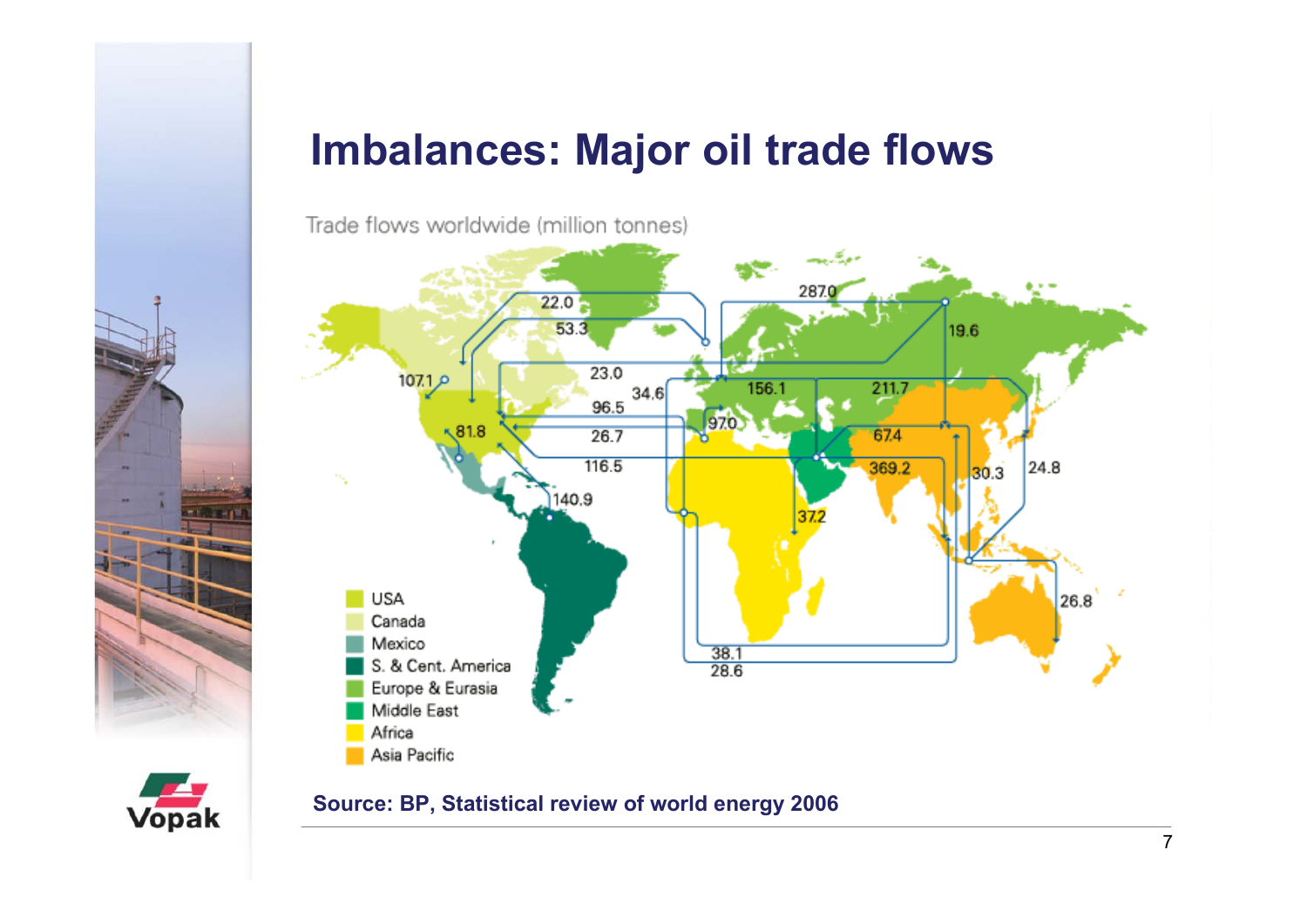### **Imbalances: Major oil trade flows**

Trade flows worldwide (million tonnes)





#### **Source: BP, Statistical review of world energy 2006**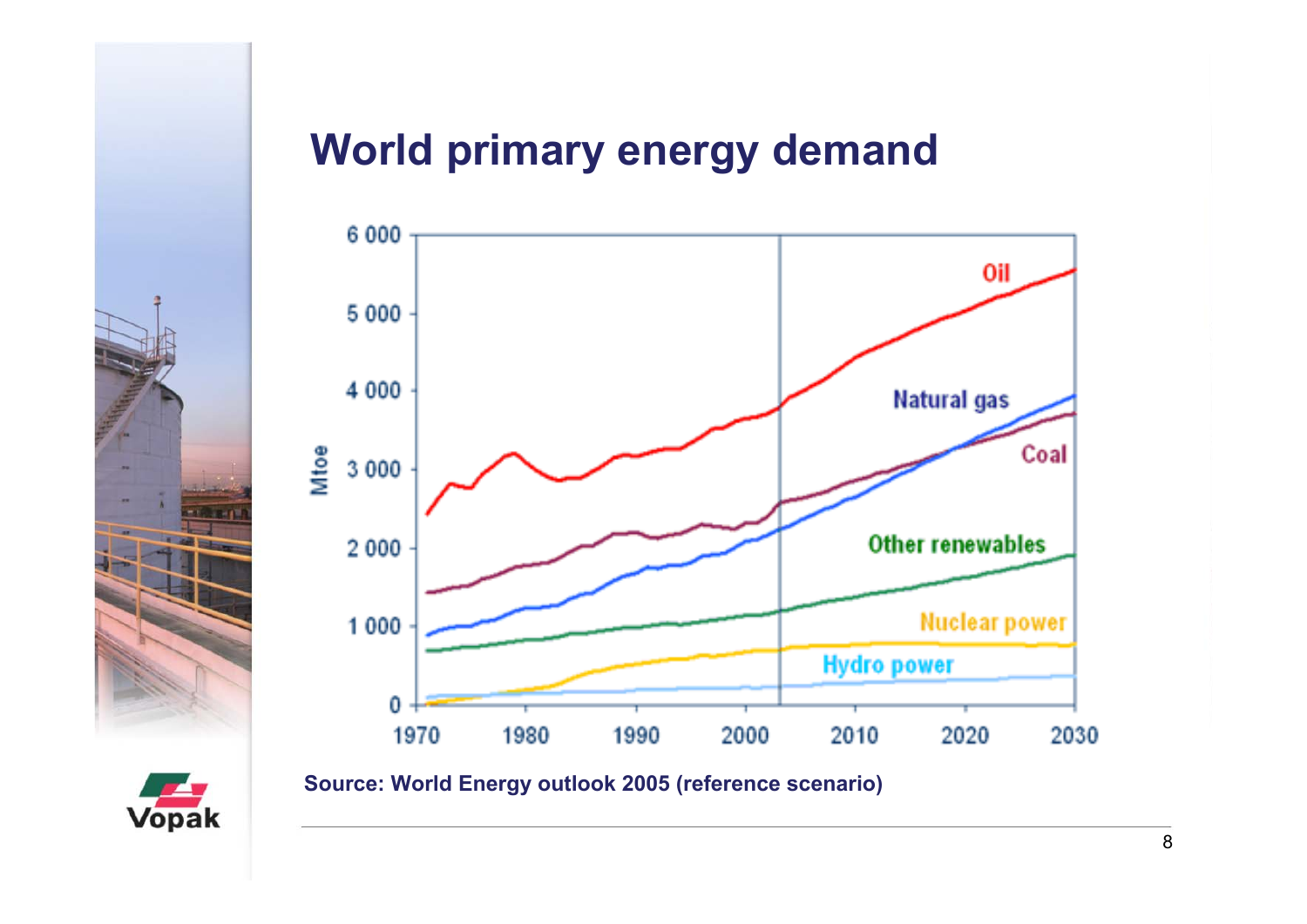

#### **World primary energy demand**



**Source: World Energy outlook 2005 (reference scenario)**

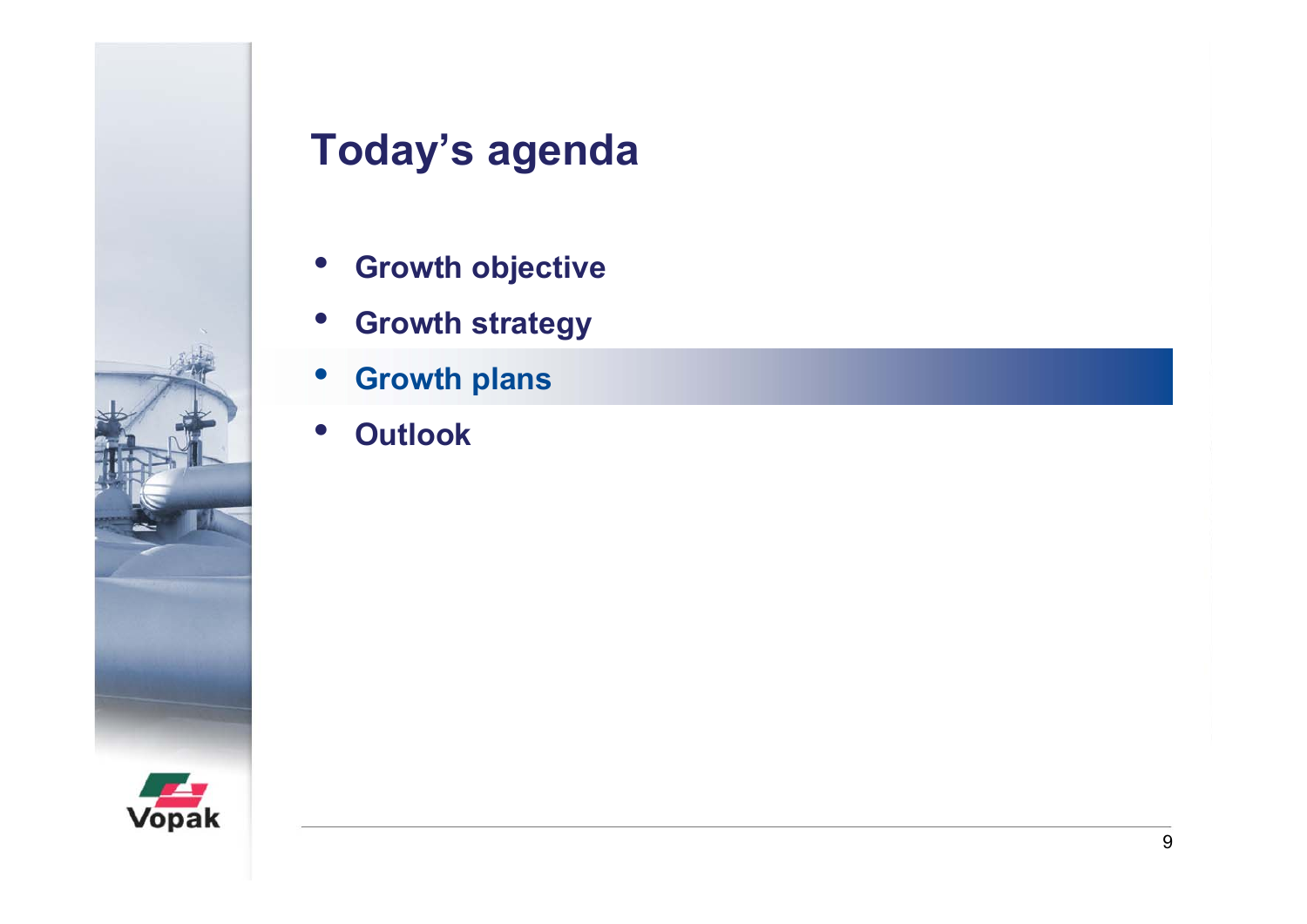

- $\bullet$ **Growth objective**
- $\bullet$ **Growth strategy**
- •**Growth plans**
- $\bullet$ **Outlook**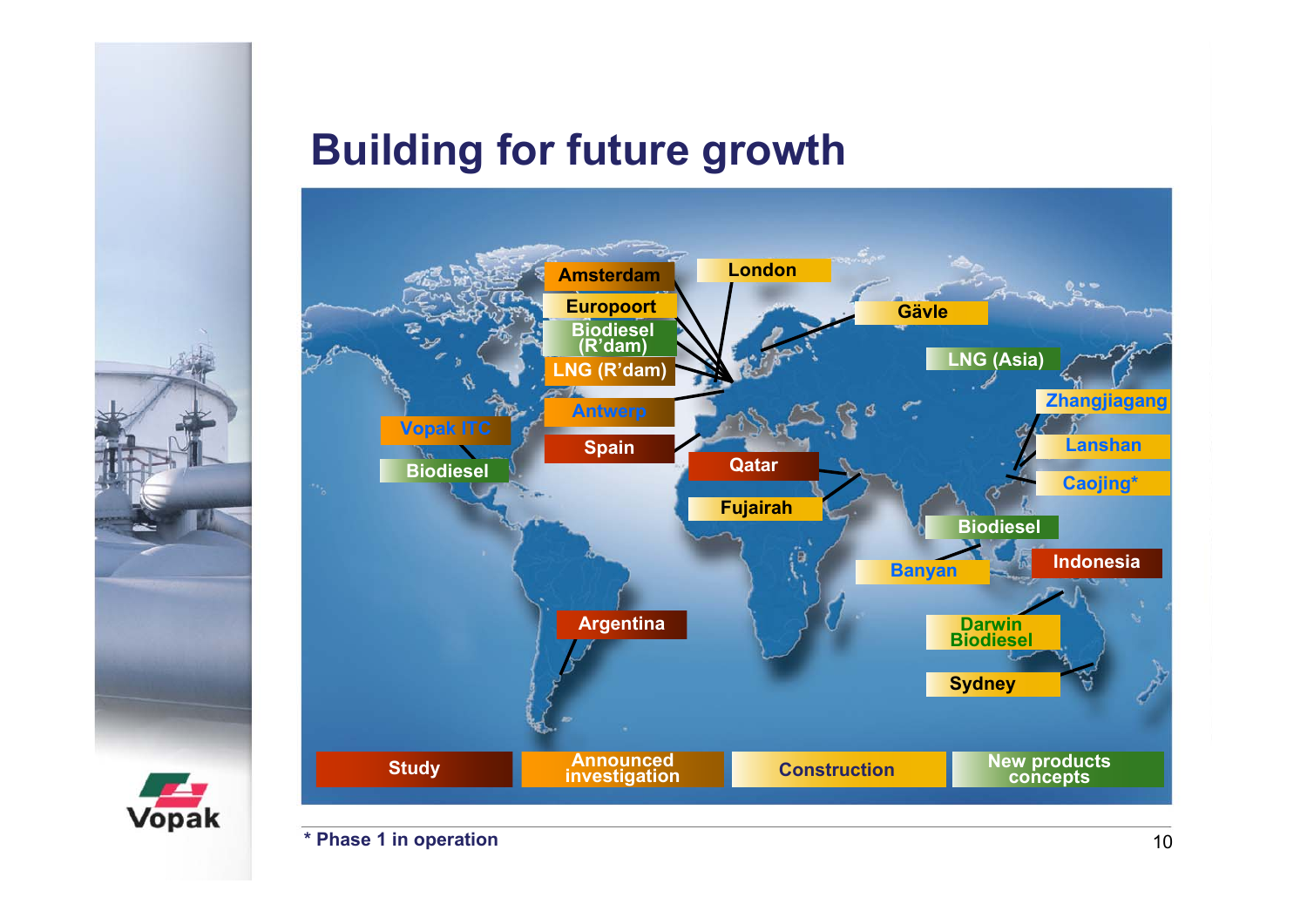### **Building for future growth**





**\* Phase 1 in operation**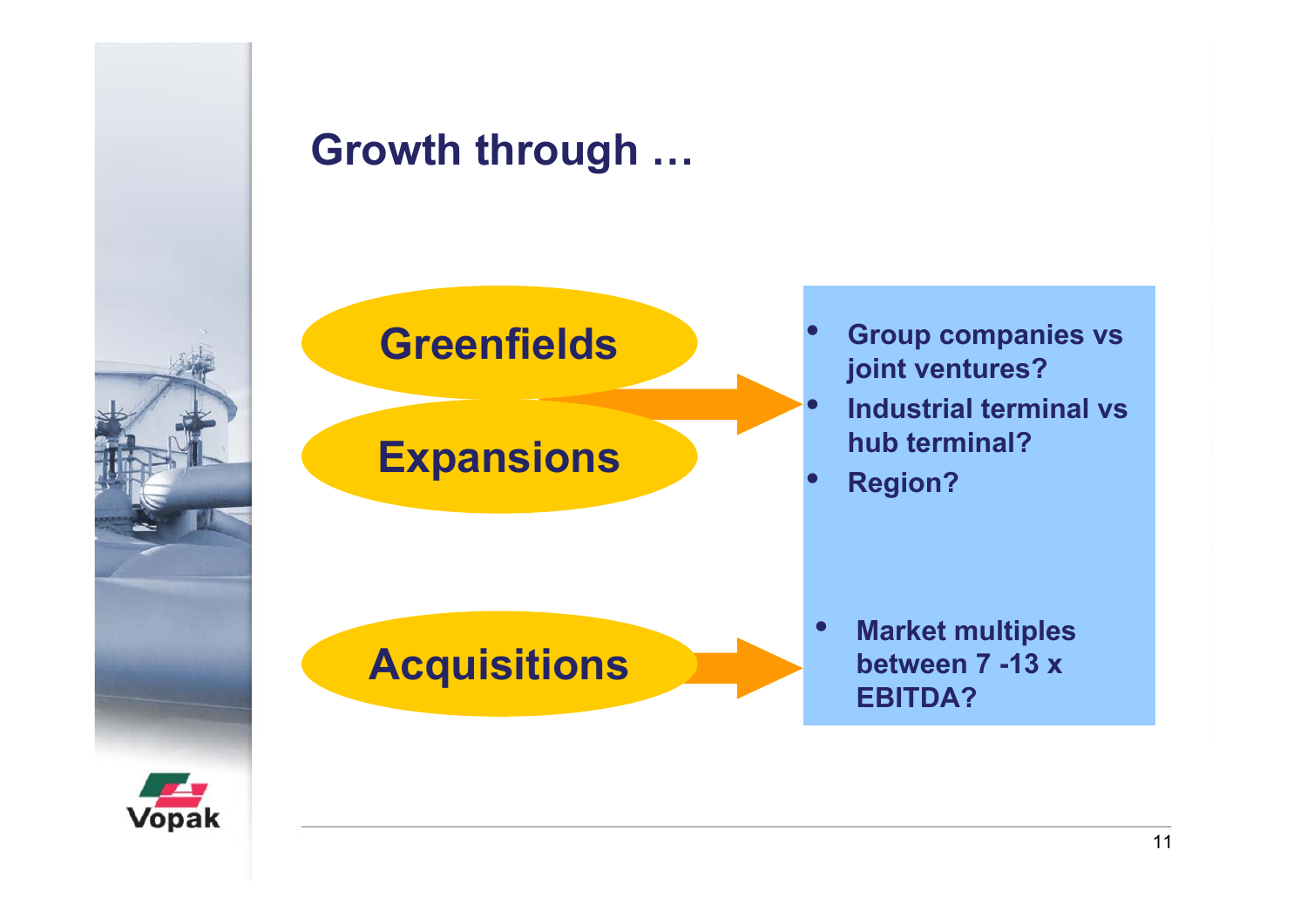

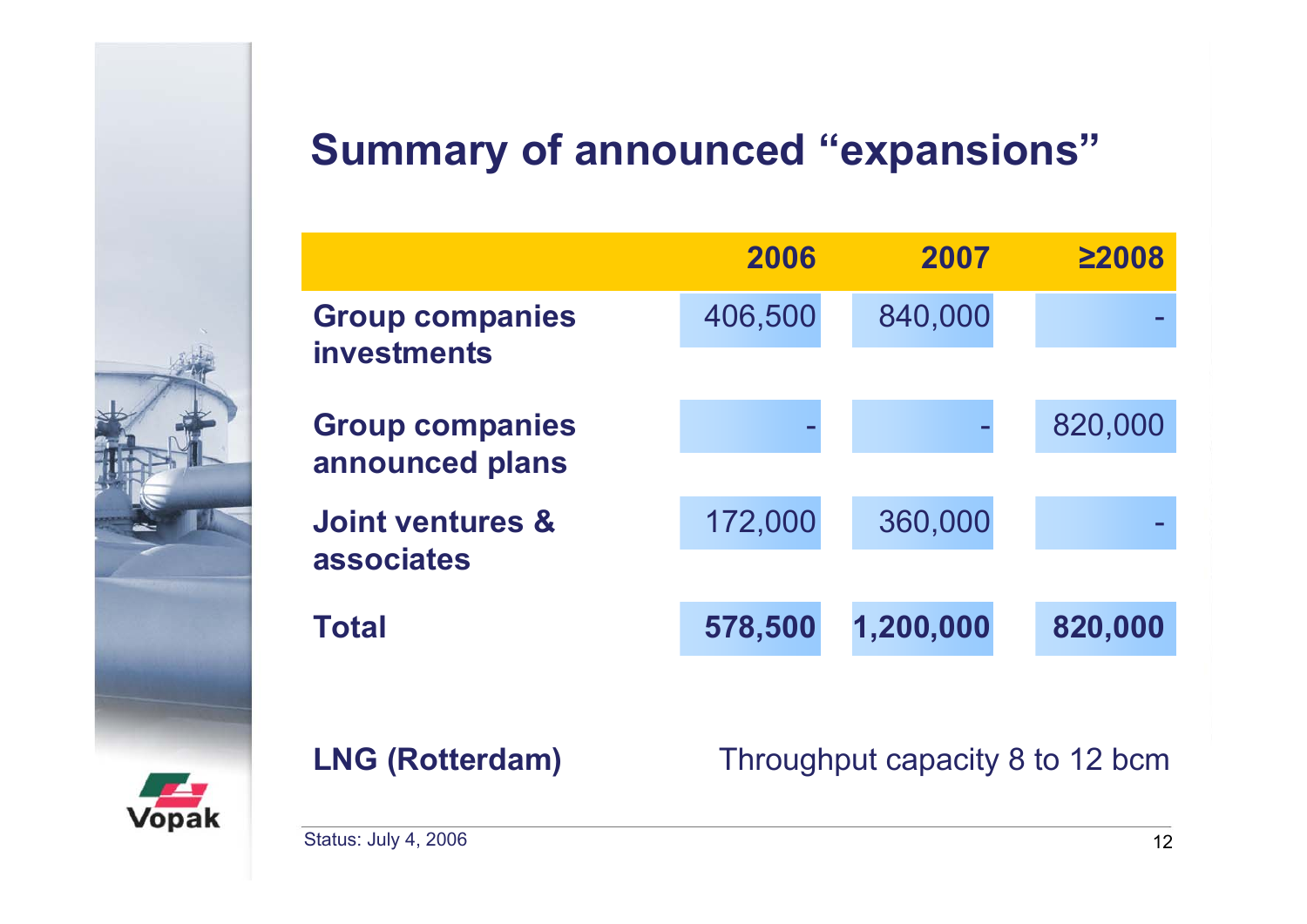# **Summary of announced "expansions"**

|                                           | 2006    | 2007      | $\geq$ 2008 |
|-------------------------------------------|---------|-----------|-------------|
| <b>Group companies</b><br>investments     | 406,500 | 840,000   |             |
| <b>Group companies</b><br>announced plans |         |           | 820,000     |
| Joint ventures &<br>associates            | 172,000 | 360,000   |             |
| <b>Total</b>                              | 578,500 | 1,200,000 | 820,000     |
|                                           |         |           |             |



**LNG (Rotterdam)** Throughput capacity 8 to 12 bcm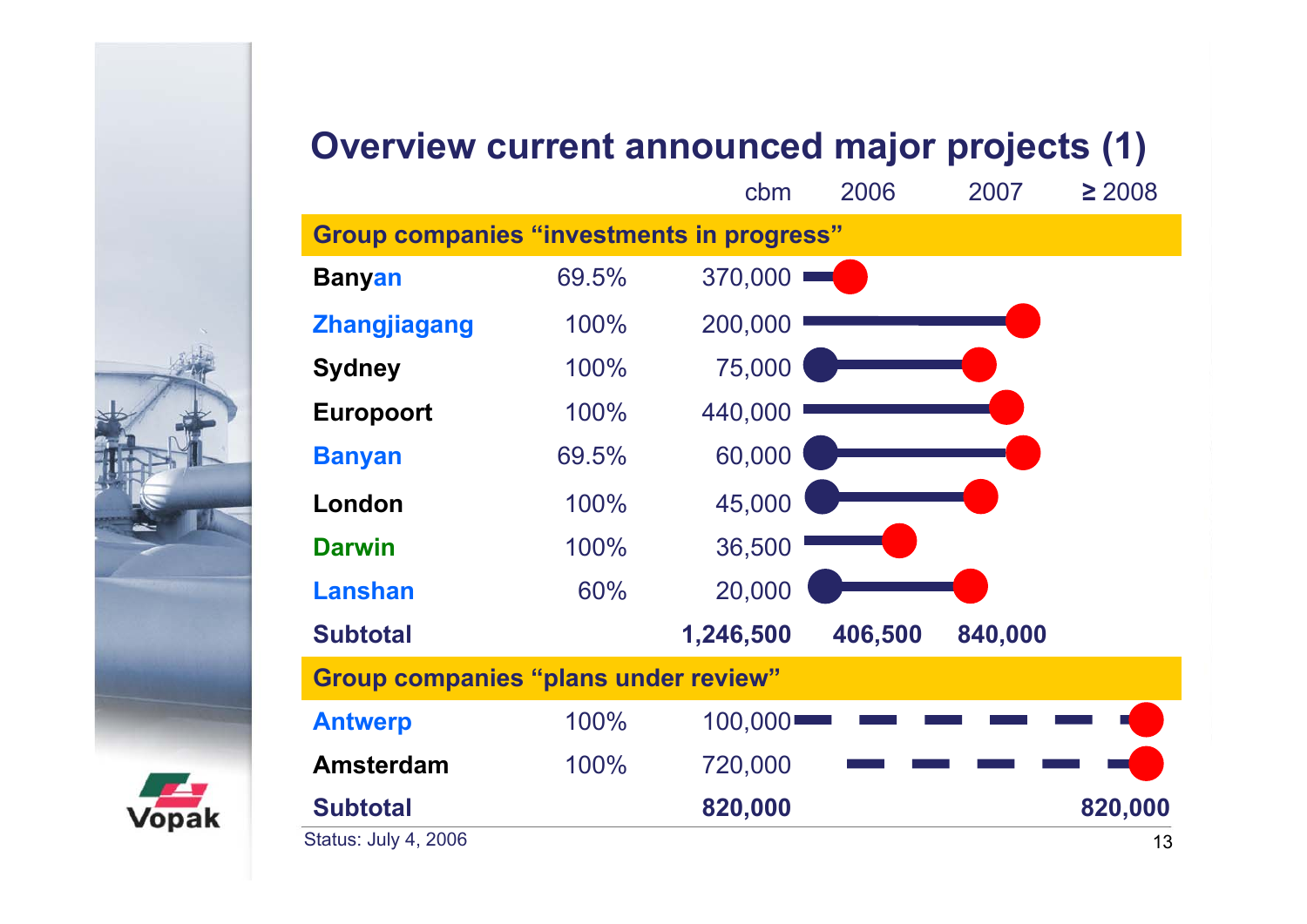#### **Overview current announced major projects (1)**

|                                                  |       | cbm       | 2006    | 2007    | $\geq 2008$ |
|--------------------------------------------------|-------|-----------|---------|---------|-------------|
| <b>Group companies "investments in progress"</b> |       |           |         |         |             |
| <b>Banyan</b>                                    | 69.5% | 370,000   |         |         |             |
| <b>Zhangjiagang</b>                              | 100%  | 200,000   |         |         |             |
| <b>Sydney</b>                                    | 100%  | 75,000    |         |         |             |
| <b>Europoort</b>                                 | 100%  | 440,000   |         |         |             |
| <b>Banyan</b>                                    | 69.5% | 60,000    |         |         |             |
| London                                           | 100%  | 45,000    |         |         |             |
| <b>Darwin</b>                                    | 100%  | 36,500    |         |         |             |
| <b>Lanshan</b>                                   | 60%   | 20,000    |         |         |             |
| <b>Subtotal</b>                                  |       | 1,246,500 | 406,500 | 840,000 |             |
| <b>Group companies "plans under review"</b>      |       |           |         |         |             |
| <b>Antwerp</b>                                   | 100%  | 100,000   |         |         |             |
| <b>Amsterdam</b>                                 | 100%  | 720,000   |         |         |             |
| <b>Subtotal</b>                                  |       | 820,000   |         |         | 820,000     |
| Status: July 4, 2006                             |       |           |         |         | 13          |

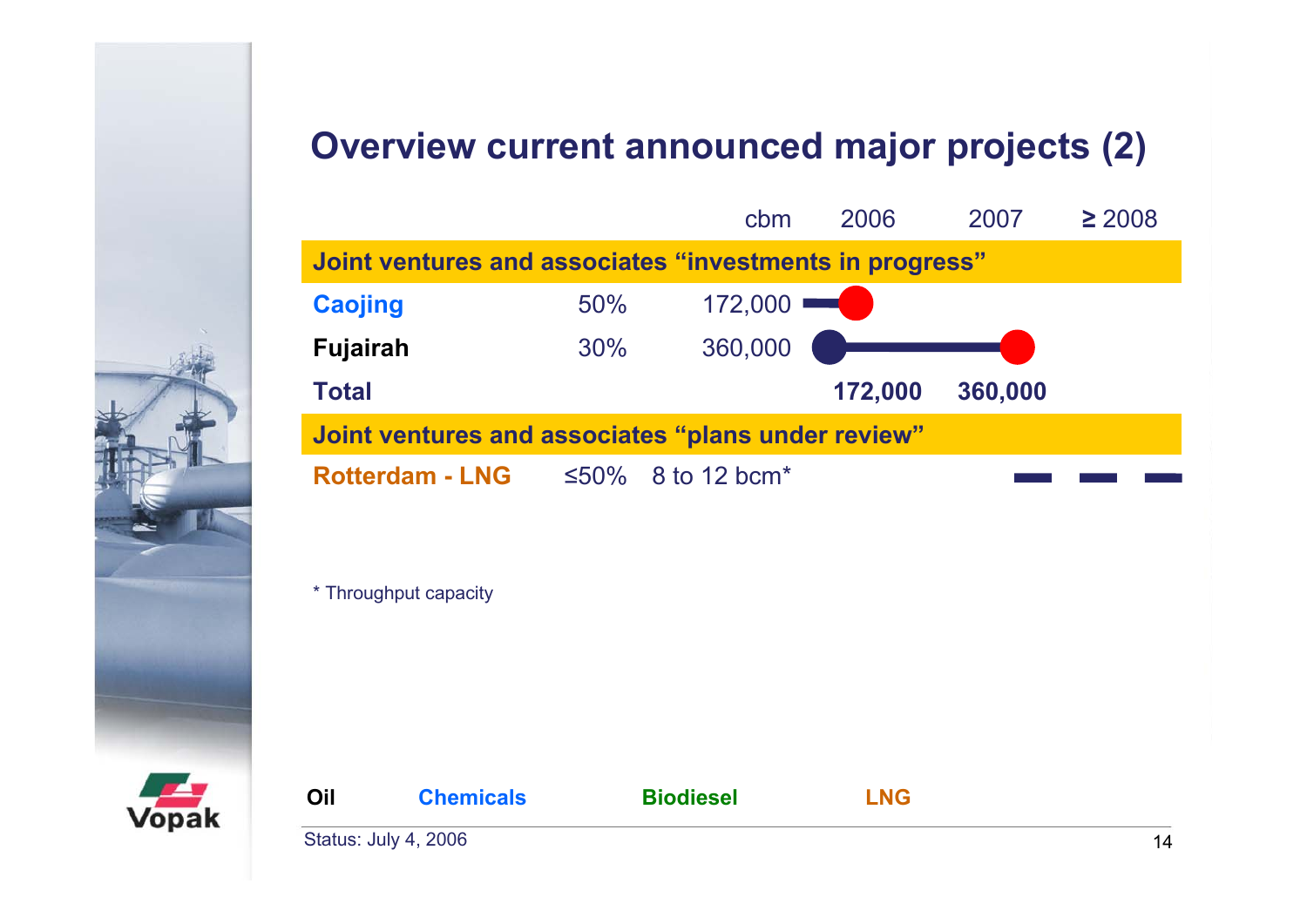#### **Overview current announced major projects (2)**





| Oil | <b>Chemicals</b>            | <b>Biodiesel</b> | <b>LNG</b> |  |
|-----|-----------------------------|------------------|------------|--|
|     | <b>Status: July 4, 2006</b> |                  |            |  |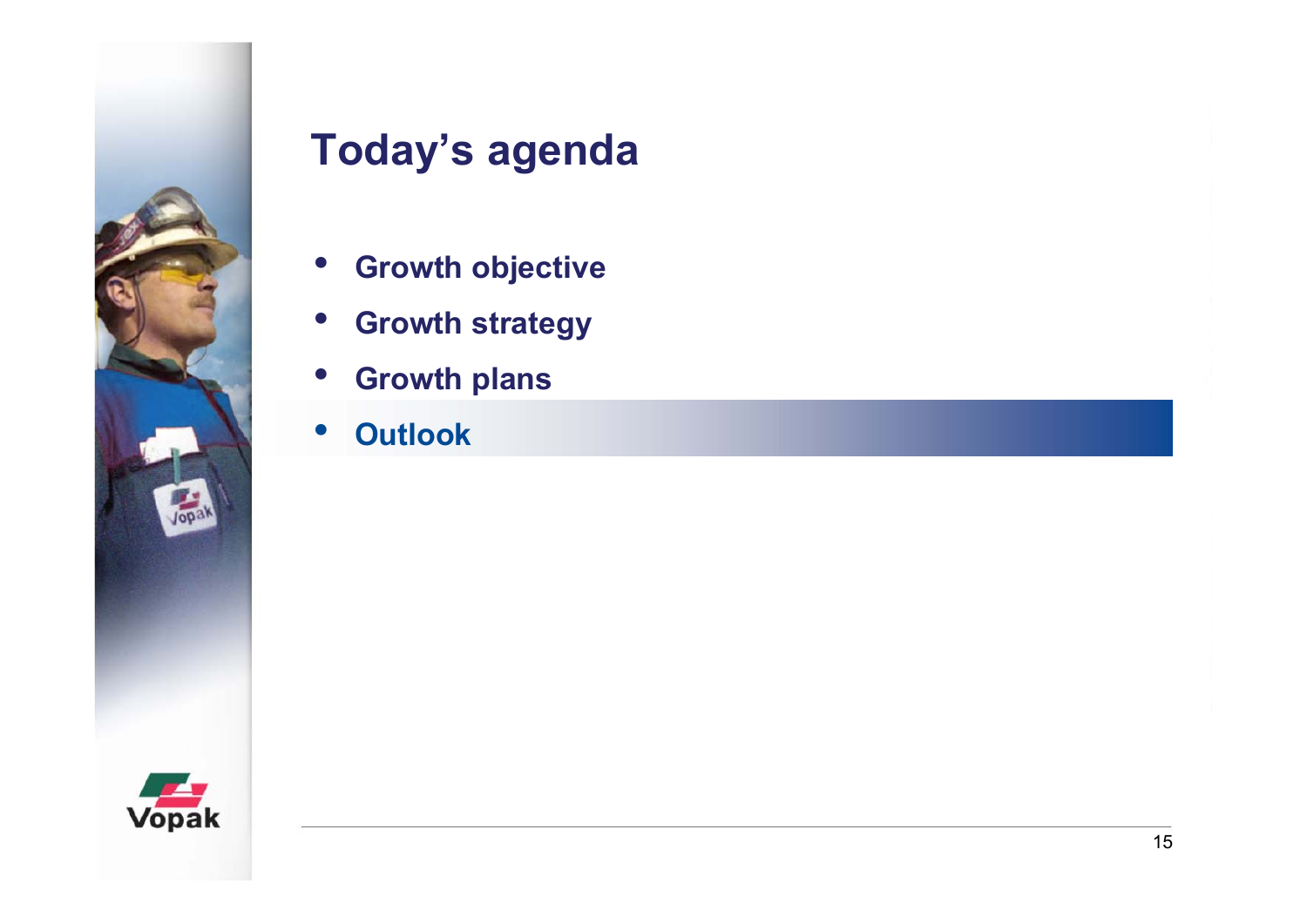

- $\bullet$ **Growth objective**
- $\bullet$ **Growth strategy**
- $\bullet$ **Growth plans**
- •**Outlook**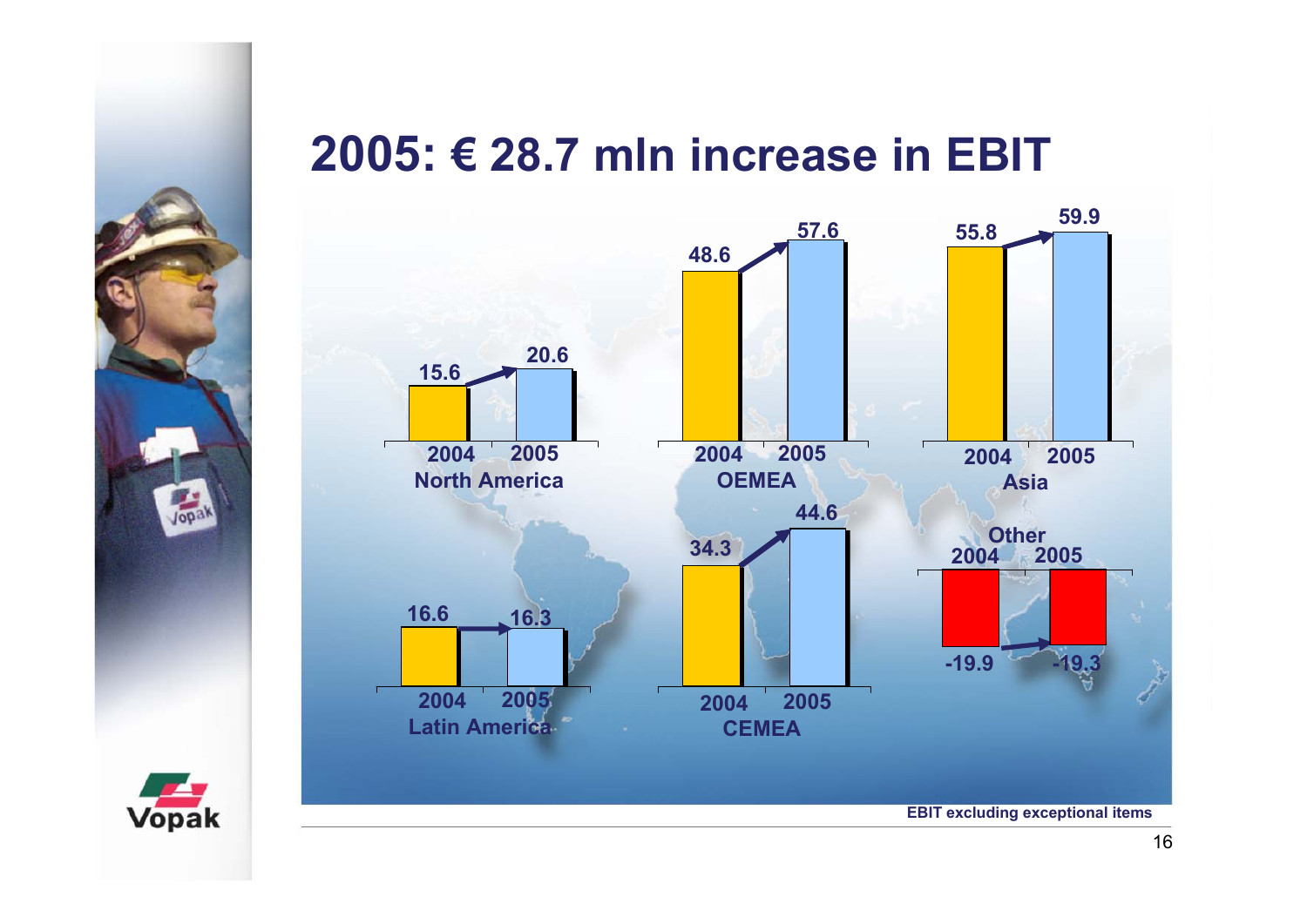# **2005: € 28.7 mln increase in EBIT**



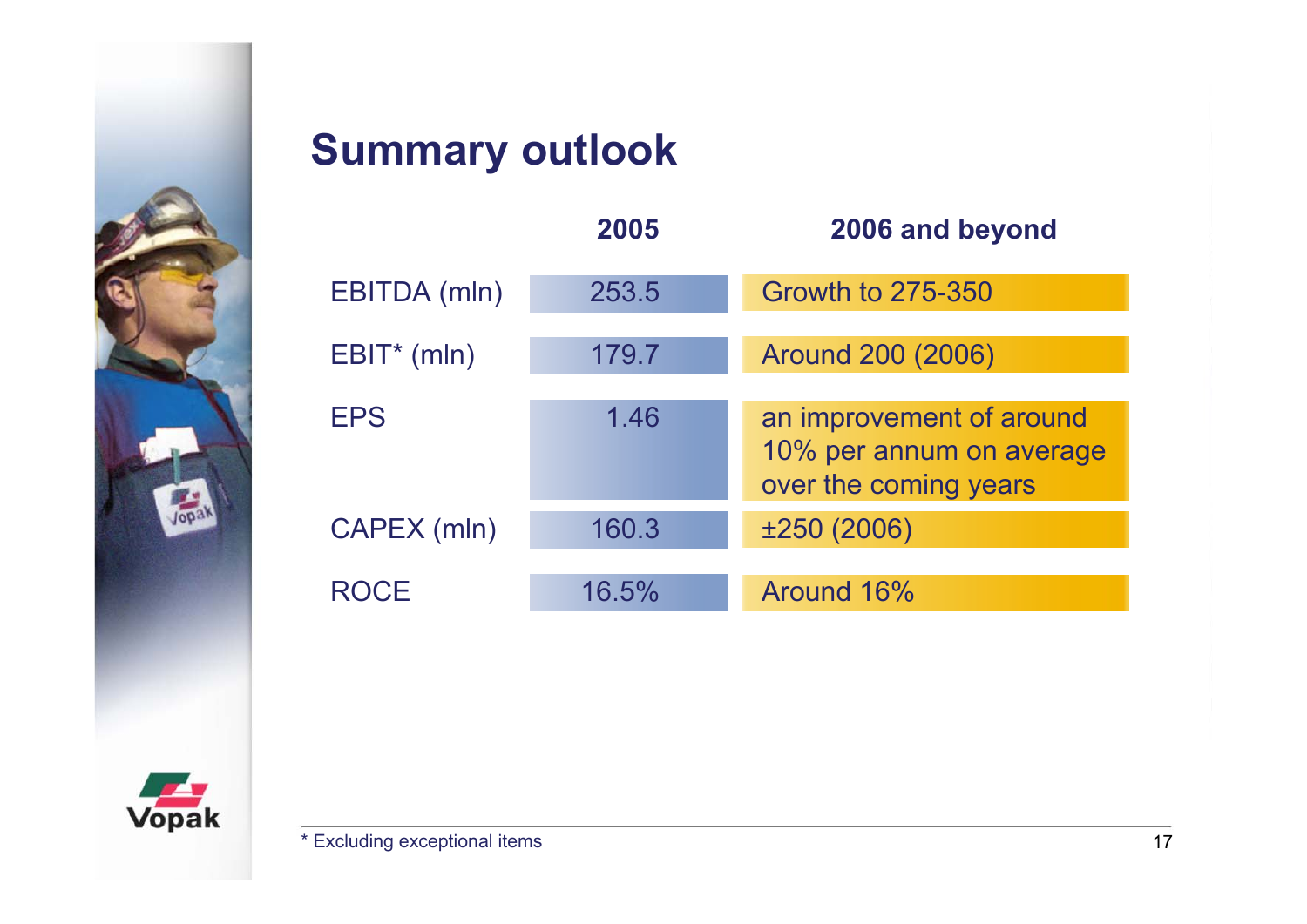

# **Summary outlook**

|               | 2005  | 2006 and beyond                                                               |
|---------------|-------|-------------------------------------------------------------------------------|
| EBITDA (mln)  | 253.5 | <b>Growth to 275-350</b>                                                      |
| $EBIT*$ (mln) | 179.7 | Around 200 (2006)                                                             |
| <b>EPS</b>    | 1.46  | an improvement of around<br>10% per annum on average<br>over the coming years |
| CAPEX (mln)   | 160.3 | ±250 (2006)                                                                   |
| <b>ROCF</b>   | 16.5% | Around 16%                                                                    |

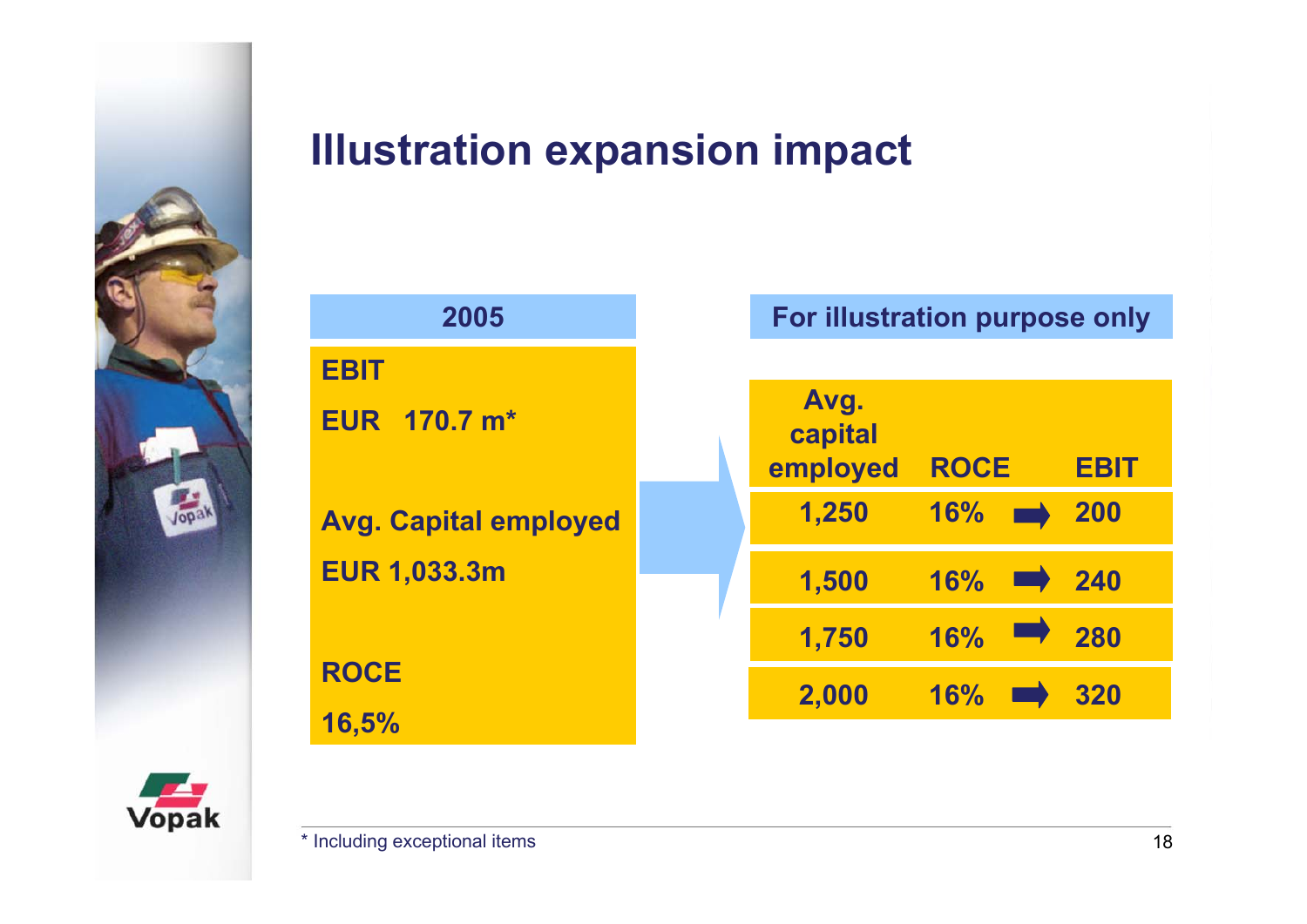

#### **Illustration expansion impact**